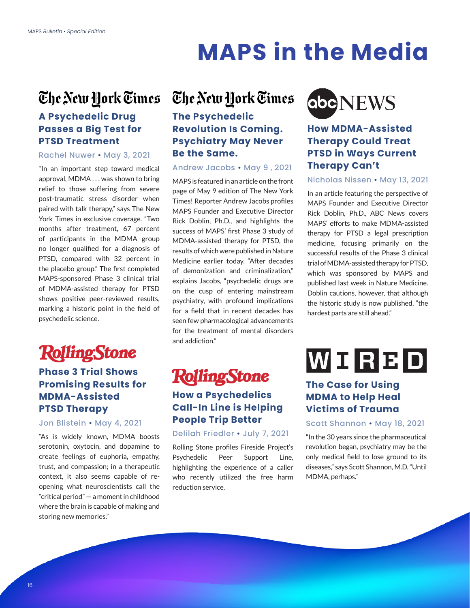# **[MAPS in the Media](https://maps.org/media)**

## **A Psychedelic Drug Passes a Big Test for PTSD Treatment**

#### Rachel Nuwer • May 3, 2021

"In an important step toward medical approval, MDMA . . . was shown to bring relief to those suffering from severe post-traumatic stress disorder when paired with talk therapy," says The New York Times in exclusive coverage. "Two months after treatment, 67 percent of participants in the MDMA group no longer qualified for a diagnosis of PTSD, compared with 32 percent in the placebo group." The first completed MAPS-sponsored Phase 3 clinical trial of MDMA-assisted therapy for PTSD shows positive peer-reviewed results, marking a historic point in the field of psychedelic science.

# **RollingStone**

## **Phase 3 Trial Shows Promising Results for MDMA-Assisted PTSD Therapy**

Jon Blistein • May 4, 2021

"As is widely known, MDMA boosts serotonin, oxytocin, and dopamine to create feelings of euphoria, empathy, trust, and compassion; in a therapeutic context, it also seems capable of reopening what neuroscientists call the "critical period" — a moment in childhood where the brain is capable of making and storing new memories."

# The New York Times The New York Times

## **The Psychedelic Revolution Is Coming. Psychiatry May Never Be the Same.**

### Andrew Jacobs • May 9 , 2021

MAPS is featured in an article on the front page of May 9 edition of The New York Times! Reporter Andrew Jacobs profiles MAPS Founder and Executive Director Rick Doblin, Ph.D., and highlights the success of MAPS' first Phase 3 study of MDMA-assisted therapy for PTSD, the results of which were published in Nature Medicine earlier today. "After decades of demonization and criminalization," explains Jacobs, "psychedelic drugs are on the cusp of entering mainstream psychiatry, with profound implications for a field that in recent decades has seen few pharmacological advancements for the treatment of mental disorders and addiction."

# **RollingStone**

# **How a Psychedelics Call-In Line is Helping People Trip Better**

Delilah Friedler • July 7, 2021

Rolling Stone profiles Fireside Project's Psychedelic Peer Support Line, highlighting the experience of a caller who recently utilized the free harm reduction service.



### **How MDMA-Assisted Therapy Could Treat PTSD in Ways Current Therapy Can't**

### Nicholas Nissen • May 13, 2021

In an article featuring the perspective of MAPS Founder and Executive Director Rick Doblin, Ph.D., ABC News covers MAPS' efforts to make MDMA-assisted therapy for PTSD a legal prescription medicine, focusing primarily on the successful results of the Phase 3 clinical trial of MDMA-assisted therapy for PTSD, which was sponsored by MAPS and published last week in Nature Medicine. Doblin cautions, however, that although the historic study is now published, "the hardest parts are still ahead."

# WORBD

### **The Case for Using MDMA to Help Heal Victims of Trauma**

Scott Shannon • May 18, 2021

"In the 30 years since the pharmaceutical revolution began, psychiatry may be the only medical field to lose ground to its diseases," says Scott Shannon, M.D. "Until MDMA, perhaps."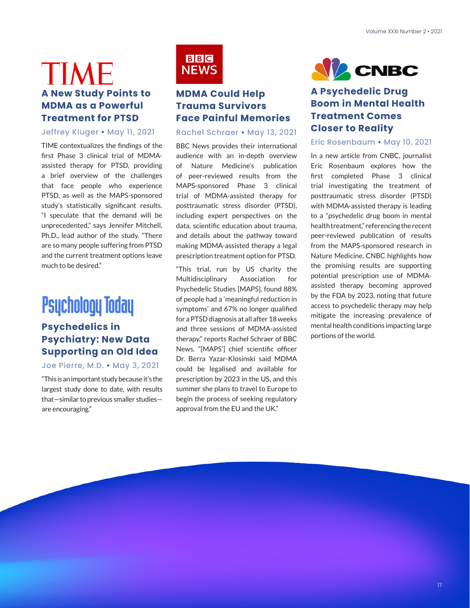# TIME **A New Study Points to MDMA as a Powerful Treatment for PTSD**

### Jeffrey Kluger • May 11, 2021

TIME contextualizes the findings of the first Phase 3 clinical trial of MDMAassisted therapy for PTSD, providing a brief overview of the challenges that face people who experience PTSD, as well as the MAPS-sponsored study's statistically significant results. "I speculate that the demand will be unprecedented," says Jennifer Mitchell, Ph.D., lead author of the study. "There are so many people suffering from PTSD and the current treatment options leave much to be desired."

# **Psychology Today**

## **Psychedelics in Psychiatry: New Data Supporting an Old Idea**

### Joe Pierre, M.D. • May 3, 2021

"This is an important study because it's the largest study done to date, with results that—similar to previous smaller studies are encouraging."



## **MDMA Could Help Trauma Survivors Face Painful Memories**

#### Rachel Schraer • May 13, 2021

BBC News provides their international audience with an in-depth overview of Nature Medicine's publication of peer-reviewed results from the MAPS-sponsored Phase 3 clinical trial of MDMA-assisted therapy for posttraumatic stress disorder (PTSD), including expert perspectives on the data, scientific education about trauma, and details about the pathway toward making MDMA-assisted therapy a legal prescription treatment option for PTSD.

"This trial, run by US charity the Multidisciplinary Association for Psychedelic Studies [MAPS], found 88% of people had a 'meaningful reduction in symptoms' and 67% no longer qualified for a PTSD diagnosis at all after 18 weeks and three sessions of MDMA-assisted therapy," reports Rachel Schraer of BBC News. "[MAPS'] chief scientific officer Dr. Berra Yazar-Klosinski said MDMA could be legalised and available for prescription by 2023 in the US, and this summer she plans to travel to Europe to begin the process of seeking regulatory approval from the EU and the UK."



## **A Psychedelic Drug Boom in Mental Health Treatment Comes Closer to Reality**

#### Eric Rosenbaum • May 10, 2021

In a new article from CNBC, journalist Eric Rosenbaum explores how the first completed Phase 3 clinical trial investigating the treatment of posttraumatic stress disorder (PTSD) with MDMA-assisted therapy is leading to a "psychedelic drug boom in mental health treatment," referencing the recent peer-reviewed publication of results from the MAPS-sponsored research in Nature Medicine. CNBC highlights how the promising results are supporting potential prescription use of MDMAassisted therapy becoming approved by the FDA by 2023, noting that future access to psychedelic therapy may help mitigate the increasing prevalence of mental health conditions impacting large portions of the world.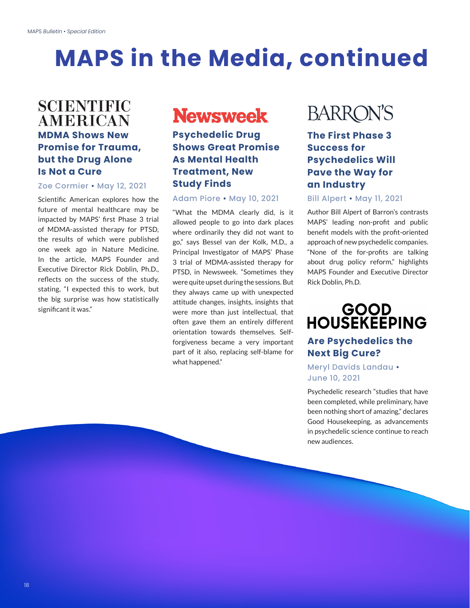# **[MAPS in the Media](https://maps.org/media), continued**

# **SCIENTIFIC AMERICAN MDMA Shows New Promise for Trauma, but the Drug Alone Is Not a Cure**

#### Zoe Cormier • May 12, 2021

Scientific American explores how the future of mental healthcare may be impacted by MAPS' first Phase 3 trial of MDMA-assisted therapy for PTSD, the results of which were published one week ago in Nature Medicine. In the article, MAPS Founder and Executive Director Rick Doblin, Ph.D., reflects on the success of the study, stating, "I expected this to work, but the big surprise was how statistically significant it was."

# **Newsweek**

### **Psychedelic Drug Shows Great Promise As Mental Health Treatment, New Study Finds**

#### Adam Piore • May 10, 2021

"What the MDMA clearly did, is it allowed people to go into dark places where ordinarily they did not want to go," says Bessel van der Kolk, M.D., a Principal Investigator of MAPS' Phase 3 trial of MDMA-assisted therapy for PTSD, in Newsweek. "Sometimes they were quite upset during the sessions. But they always came up with unexpected attitude changes, insights, insights that were more than just intellectual, that often gave them an entirely different orientation towards themselves. Selfforgiveness became a very important part of it also, replacing self-blame for what happened."

# **BARRON'S**

**The First Phase 3 Success for Psychedelics Will Pave the Way for an Industry**

#### Bill Alpert • May 11, 2021

Author Bill Alpert of Barron's contrasts MAPS' leading non-profit and public benefit models with the profit-oriented approach of new psychedelic companies. "None of the for-profits are talking about drug policy reform," highlights MAPS Founder and Executive Director Rick Doblin, Ph.D.

# GOOD<br>HOUSEKEEPING

### **Are Psychedelics the Next Big Cure?**

### Meryl Davids Landau • June 10, 2021

Psychedelic research "studies that have been completed, while preliminary, have been nothing short of amazing," declares Good Housekeeping, as advancements in psychedelic science continue to reach new audiences.